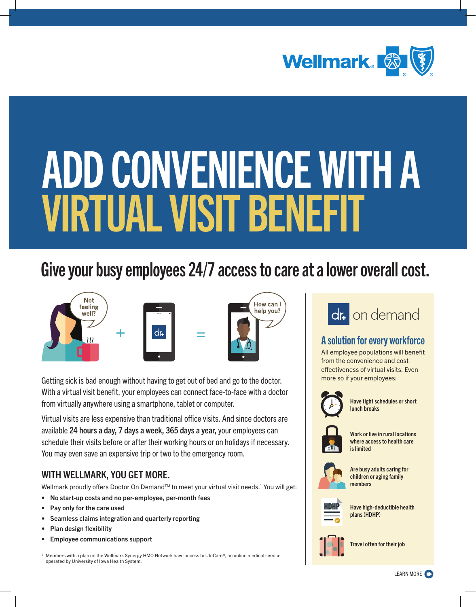

# ADD CONVENIENCE WITH A VIRTUAL VISIT BENEFIT

## Give your busy employees 24/7 access to care at a lower overall cost.



Getting sick is bad enough without having to get out of bed and go to the doctor. With a virtual visit benefit, your employees can connect face-to-face with a doctor from virtually anywhere using a smartphone, tablet or computer.

Virtual visits are less expensive than traditional office visits. And since doctors are available 24 hours a day, 7 days a week, 365 days a year, your employees can schedule their visits before or after their working hours or on holidays if necessary. You may even save an expensive trip or two to the emergency room.

### WITH WELLMARK, YOU GET MORE.

Wellmark proudly offers Doctor On Demand™ to meet your virtual visit needs.<sup>1</sup> You will get:

- No start-up costs and no per-employee, per-month fees
- Pay only for the care used
- Seamless claims integration and quarterly reporting
- Plan design flexibility
- Employee communications support

<span id="page-0-0"></span><sup>1</sup> Members with a plan on the Wellmark Synergy HMO Network have access to UleCare®, an online medical service operated by University of Iowa Health System.



## A solution for every workforce

All employee populations will benefit from the convenience and cost effectiveness of virtual visits. Even more so if your employees:



• Have tight schedules or short lunch breaks



• Work or live in rural locations where access to health care is limited



• Are busy adults caring for children or aging family members



• Have high-deductible health plans (HDHP)



Travel often for their job